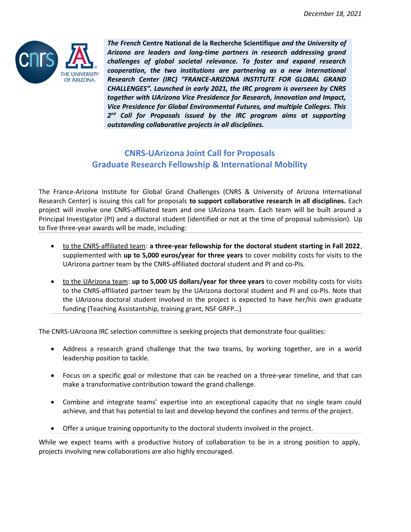

*The French* **Centre National de la Recherche Scientifique** *and the University of Arizona are leaders and long-time partners in research addressing grand challenges of global societal relevance. To foster and expand research cooperation, the two institutions are partnering as a new International Research Center (IRC) "FRANCE-ARIZONA INSTITUTE FOR GLOBAL GRAND CHALLENGES". Launched in early 2021, the IRC program is overseen by CNRS together with UArizona Vice Presidence for Research, Innovation and Impact, Vice Presidence for Global Environmental Futures, and multiple Colleges. This 2 nd Call for Proposals issued by the IRC program aims at supporting outstanding collaborative projects in all disciplines.*

# **CNRS-UArizona Joint Call for Proposals Graduate Research Fellowship & International Mobility**

The France-Arizona Institute for Global Grand Challenges (CNRS & University of Arizona International Research Center) is issuing this call for proposals **to support collaborative research in all disciplines.** Each project will involve one CNRS-affiliated team and one UArizona team. Each team will be built around a Principal Investigator (PI) and a doctoral student (identified or not at the time of proposal submission). Up to five three-year awards will be made, including:

- to the CNRS-affiliated team: **a three-year fellowship for the doctoral student starting in Fall 2022**, supplemented with **up to 5,000 euros/year for three years** to cover mobility costs for visits to the UArizona partner team by the CNRS-affiliated doctoral student and PI and co-PIs.
- to the UArizona team: **up to 5,000 US dollars/year for three years** to cover mobility costs for visits to the CNRS-affiliated partner team by the UArizona doctoral student and PI and co-PIs. Note that the UArizona doctoral student involved in the project is expected to have her/his own graduate funding (Teaching Assistantship, training grant, NSF GRFP…)

The CNRS-UArizona IRC selection committee is seeking projects that demonstrate four qualities:

- Address a research grand challenge that the two teams, by working together, are in a world leadership position to tackle.
- Focus on a specific goal or milestone that can be reached on a three-year timeline, and that can make a transformative contribution toward the grand challenge.
- Combine and integrate teams' expertise into an exceptional capacity that no single team could achieve, and that has potential to last and develop beyond the confines and terms of the project.
- Offer a unique training opportunity to the doctoral students involved in the project.

While we expect teams with a productive history of collaboration to be in a strong position to apply, projects involving new collaborations are also highly encouraged.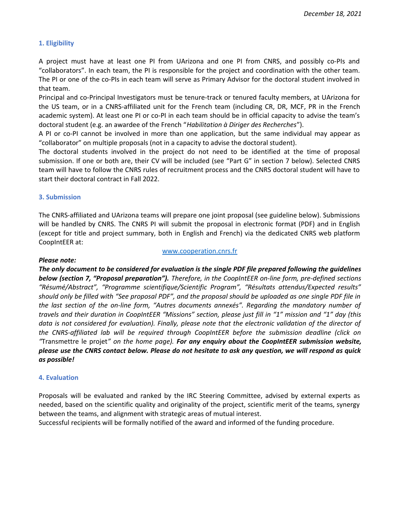# **1. Eligibility**

A project must have at least one PI from UArizona and one PI from CNRS, and possibly co-PIs and "collaborators". In each team, the PI is responsible for the project and coordination with the other team. The PI or one of the co-PIs in each team will serve as Primary Advisor for the doctoral student involved in that team.

Principal and co-Principal Investigators must be tenure-track or tenured faculty members, at UArizona for the US team, or in a CNRS-affiliated unit for the French team (including CR, DR, MCF, PR in the French academic system). At least one PI or co-PI in each team should be in official capacity to advise the team's doctoral student (e.g. an awardee of the French "*Habilitation à Diriger des Recherches*").

A PI or co-PI cannot be involved in more than one application, but the same individual may appear as "collaborator" on multiple proposals (not in a capacity to advise the doctoral student).

The doctoral students involved in the project do not need to be identified at the time of proposal submission. If one or both are, their CV will be included (see "Part G" in section 7 below). Selected CNRS team will have to follow the CNRS rules of recruitment process and the CNRS doctoral student will have to start their doctoral contract in Fall 2022.

### **3. Submission**

The CNRS-affiliated and UArizona teams will prepare one joint proposal (see guideline below). Submissions will be handled by CNRS. The CNRS PI will submit the proposal in electronic format (PDF) and in English (except for title and project summary, both in English and French) via the dedicated CNRS web platform CoopIntEER at:

#### [www.cooperation.cnrs.fr](http://www.cooperation.cnrs.fr/)

#### *Please note:*

*The only document to be considered for evaluation is the single PDF file prepared following the guidelines below (section 7, "Proposal preparation"). Therefore, in the CoopIntEER on-line form, pre-defined sections "Résumé/Abstract", "Programme scientifique/Scientific Program", "Résultats attendus/Expected results" should only be filled with "See proposal PDF", and the proposal should be uploaded as one single PDF file in the last section of the on-line form, "Autres documents annexés". Regarding the mandatory number of travels and their duration in CoopIntEER "Missions" section, please just fill in "1" mission and "1" day (this data is not considered for evaluation). Finally, please note that the electronic validation of the director of the CNRS-affiliated lab will be required through CoopIntEER before the submission deadline (click on "*Transmettre le projet*" on the home page). For any enquiry about the CoopIntEER submission website, please use the CNRS contact below. Please do not hesitate to ask any question, we will respond as quick as possible!* 

### **4. Evaluation**

Proposals will be evaluated and ranked by the IRC Steering Committee, advised by external experts as needed, based on the scientific quality and originality of the project, scientific merit of the teams, synergy between the teams, and alignment with strategic areas of mutual interest.

Successful recipients will be formally notified of the award and informed of the funding procedure.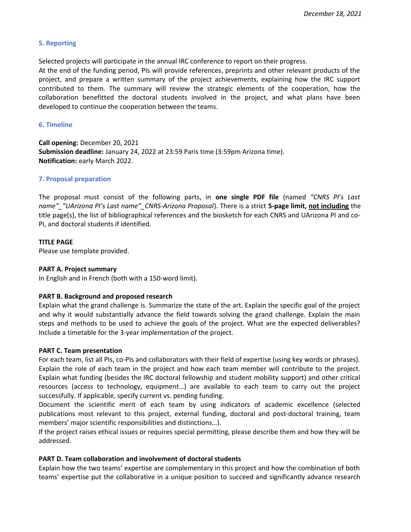# **5. Reporting**

Selected projects will participate in the annual IRC conference to report on their progress.

At the end of the funding period, PIs will provide references, preprints and other relevant products of the project, and prepare a written summary of the project achievements, explaining how the IRC support contributed to them. The summary will review the strategic elements of the cooperation, how the collaboration benefitted the doctoral students involved in the project, and what plans have been developed to continue the cooperation between the teams.

# **6. Timeline**

**Call opening:** December 20, 2021 **Submission deadline:** January 24, 2022 at 23:59 Paris time (3:59pm Arizona time). **Notification:** early March 2022.

# **7. Proposal preparation**

The proposal must consist of the following parts, in **one single PDF file** (named *"CNRS PI's Last name"\_"UArizona PI's Last name"\_CNRS-Arizona Proposal*). There is a strict **5-page limit, not including** the title page(s), the list of bibliographical references and the biosketch for each CNRS and UArizona PI and co-PI, and doctoral students if identified.

# **TITLE PAGE**

Please use template provided.

# **PART A. Project summary**

In English and in French (both with a 150-word limit).

### **PART B. Background and proposed research**

Explain what the grand challenge is. Summarize the state of the art. Explain the specific goal of the project and why it would substantially advance the field towards solving the grand challenge. Explain the main steps and methods to be used to achieve the goals of the project. What are the expected deliverables? Include a timetable for the 3-year implementation of the project.

### **PART C. Team presentation**

For each team, list all PIs, co-PIs and collaborators with their field of expertise (using key words or phrases). Explain the role of each team in the project and how each team member will contribute to the project. Explain what funding (besides the IRC doctoral fellowship and student mobility support) and other critical resources (access to technology, equipment…) are available to each team to carry out the project successfully. If applicable, specify current vs. pending funding.

Document the scientific merit of each team by using indicators of academic excellence (selected publications most relevant to this project, external funding, doctoral and post-doctoral training, team members' major scientific responsibilities and distinctions…).

If the project raises ethical issues or requires special permitting, please describe them and how they will be addressed.

### **PART D. Team collaboration and involvement of doctoral students**

Explain how the two teams' expertise are complementary in this project and how the combination of both teams' expertise put the collaborative in a unique position to succeed and significantly advance research